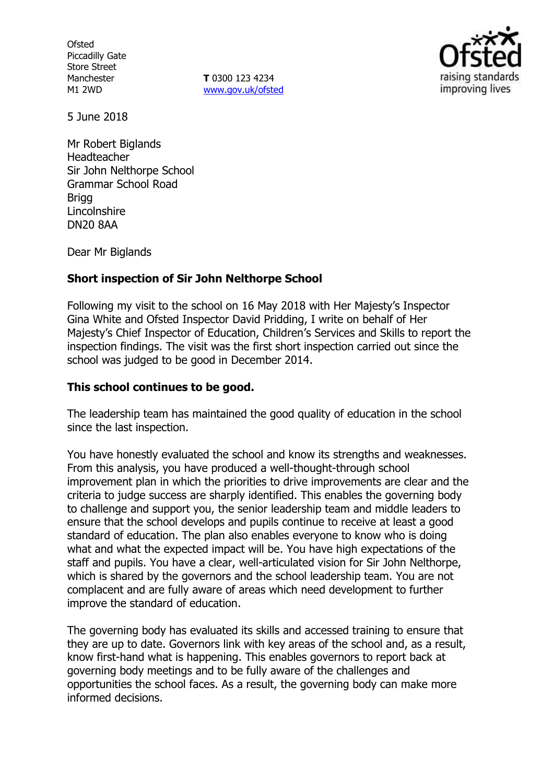**Ofsted** Piccadilly Gate Store Street Manchester M1 2WD

**T** 0300 123 4234 www.gov.uk/ofsted



5 June 2018

Mr Robert Biglands Headteacher Sir John Nelthorpe School Grammar School Road Brigg Lincolnshire DN20 8AA

Dear Mr Biglands

### **Short inspection of Sir John Nelthorpe School**

Following my visit to the school on 16 May 2018 with Her Majesty's Inspector Gina White and Ofsted Inspector David Pridding, I write on behalf of Her Majesty's Chief Inspector of Education, Children's Services and Skills to report the inspection findings. The visit was the first short inspection carried out since the school was judged to be good in December 2014.

## **This school continues to be good.**

The leadership team has maintained the good quality of education in the school since the last inspection.

You have honestly evaluated the school and know its strengths and weaknesses. From this analysis, you have produced a well-thought-through school improvement plan in which the priorities to drive improvements are clear and the criteria to judge success are sharply identified. This enables the governing body to challenge and support you, the senior leadership team and middle leaders to ensure that the school develops and pupils continue to receive at least a good standard of education. The plan also enables everyone to know who is doing what and what the expected impact will be. You have high expectations of the staff and pupils. You have a clear, well-articulated vision for Sir John Nelthorpe, which is shared by the governors and the school leadership team. You are not complacent and are fully aware of areas which need development to further improve the standard of education.

The governing body has evaluated its skills and accessed training to ensure that they are up to date. Governors link with key areas of the school and, as a result, know first-hand what is happening. This enables governors to report back at governing body meetings and to be fully aware of the challenges and opportunities the school faces. As a result, the governing body can make more informed decisions.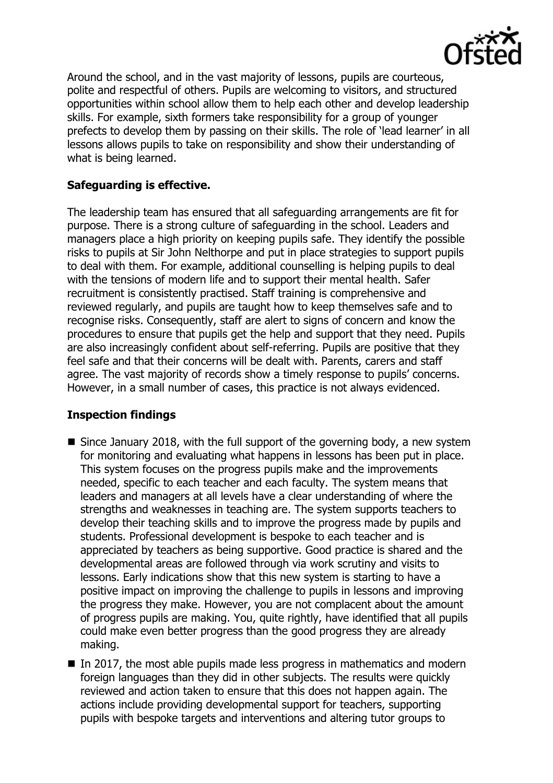

Around the school, and in the vast majority of lessons, pupils are courteous, polite and respectful of others. Pupils are welcoming to visitors, and structured opportunities within school allow them to help each other and develop leadership skills. For example, sixth formers take responsibility for a group of younger prefects to develop them by passing on their skills. The role of 'lead learner' in all lessons allows pupils to take on responsibility and show their understanding of what is being learned.

# **Safeguarding is effective.**

The leadership team has ensured that all safeguarding arrangements are fit for purpose. There is a strong culture of safeguarding in the school. Leaders and managers place a high priority on keeping pupils safe. They identify the possible risks to pupils at Sir John Nelthorpe and put in place strategies to support pupils to deal with them. For example, additional counselling is helping pupils to deal with the tensions of modern life and to support their mental health. Safer recruitment is consistently practised. Staff training is comprehensive and reviewed regularly, and pupils are taught how to keep themselves safe and to recognise risks. Consequently, staff are alert to signs of concern and know the procedures to ensure that pupils get the help and support that they need. Pupils are also increasingly confident about self-referring. Pupils are positive that they feel safe and that their concerns will be dealt with. Parents, carers and staff agree. The vast majority of records show a timely response to pupils' concerns. However, in a small number of cases, this practice is not always evidenced.

# **Inspection findings**

- Since January 2018, with the full support of the governing body, a new system for monitoring and evaluating what happens in lessons has been put in place. This system focuses on the progress pupils make and the improvements needed, specific to each teacher and each faculty. The system means that leaders and managers at all levels have a clear understanding of where the strengths and weaknesses in teaching are. The system supports teachers to develop their teaching skills and to improve the progress made by pupils and students. Professional development is bespoke to each teacher and is appreciated by teachers as being supportive. Good practice is shared and the developmental areas are followed through via work scrutiny and visits to lessons. Early indications show that this new system is starting to have a positive impact on improving the challenge to pupils in lessons and improving the progress they make. However, you are not complacent about the amount of progress pupils are making. You, quite rightly, have identified that all pupils could make even better progress than the good progress they are already making.
- In 2017, the most able pupils made less progress in mathematics and modern foreign languages than they did in other subjects. The results were quickly reviewed and action taken to ensure that this does not happen again. The actions include providing developmental support for teachers, supporting pupils with bespoke targets and interventions and altering tutor groups to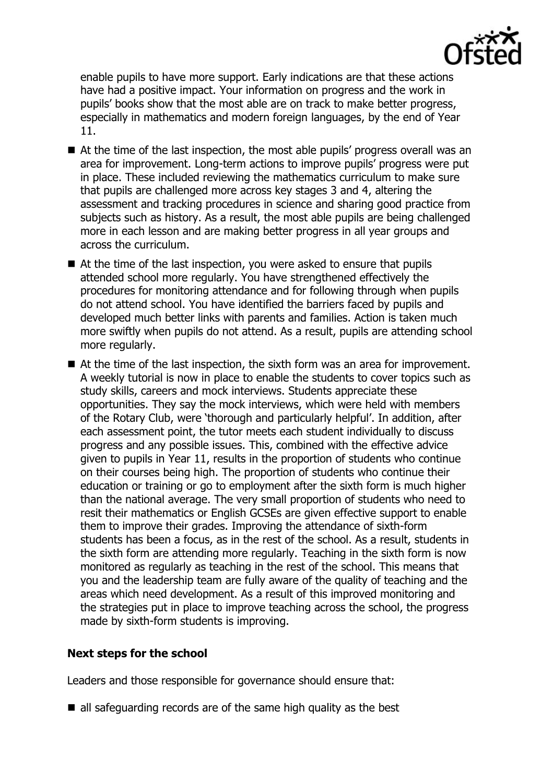

enable pupils to have more support. Early indications are that these actions have had a positive impact. Your information on progress and the work in pupils' books show that the most able are on track to make better progress, especially in mathematics and modern foreign languages, by the end of Year 11.

- At the time of the last inspection, the most able pupils' progress overall was an area for improvement. Long-term actions to improve pupils' progress were put in place. These included reviewing the mathematics curriculum to make sure that pupils are challenged more across key stages 3 and 4, altering the assessment and tracking procedures in science and sharing good practice from subjects such as history. As a result, the most able pupils are being challenged more in each lesson and are making better progress in all year groups and across the curriculum.
- At the time of the last inspection, you were asked to ensure that pupils attended school more regularly. You have strengthened effectively the procedures for monitoring attendance and for following through when pupils do not attend school. You have identified the barriers faced by pupils and developed much better links with parents and families. Action is taken much more swiftly when pupils do not attend. As a result, pupils are attending school more regularly.
- At the time of the last inspection, the sixth form was an area for improvement. A weekly tutorial is now in place to enable the students to cover topics such as study skills, careers and mock interviews. Students appreciate these opportunities. They say the mock interviews, which were held with members of the Rotary Club, were 'thorough and particularly helpful'. In addition, after each assessment point, the tutor meets each student individually to discuss progress and any possible issues. This, combined with the effective advice given to pupils in Year 11, results in the proportion of students who continue on their courses being high. The proportion of students who continue their education or training or go to employment after the sixth form is much higher than the national average. The very small proportion of students who need to resit their mathematics or English GCSEs are given effective support to enable them to improve their grades. Improving the attendance of sixth-form students has been a focus, as in the rest of the school. As a result, students in the sixth form are attending more regularly. Teaching in the sixth form is now monitored as regularly as teaching in the rest of the school. This means that you and the leadership team are fully aware of the quality of teaching and the areas which need development. As a result of this improved monitoring and the strategies put in place to improve teaching across the school, the progress made by sixth-form students is improving.

### **Next steps for the school**

Leaders and those responsible for governance should ensure that:

 $\blacksquare$  all safeguarding records are of the same high quality as the best